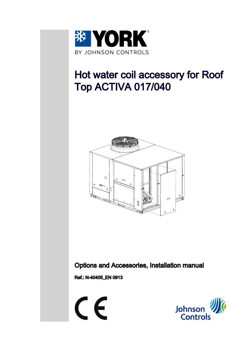

# Hot water coil accessory for Roof Top ACTIVA 017/040



Options and Accessories, Installation manual

Ref.: N-40405\_EN 0913



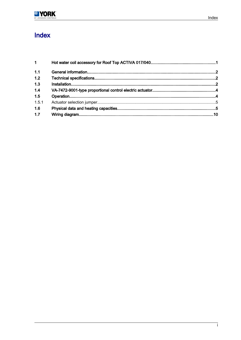## Index

| $1 \quad \blacksquare$ |  |
|------------------------|--|
| 1.1                    |  |
| 1.2                    |  |
| 1.3                    |  |
| 1.4                    |  |
| 1.5                    |  |
| 1.5.1                  |  |
| 1.6                    |  |
| 1.7                    |  |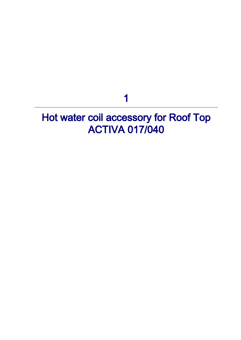1

# <span id="page-2-0"></span>Hot water coil accessory for Roof Top ACTIVA 017/040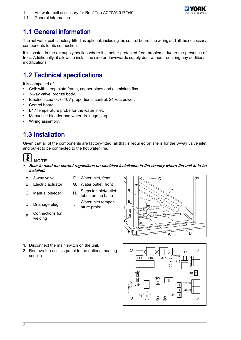

<span id="page-3-0"></span>1.1 General information

### 1.1 General information

The hot water coil is factory-fitted as optional, including the control board, the wiring and all the necessary components for its connection.

It is located in the air supply section where it is better protected from problems due to the presence of frost. Additionally, it allows to install the side or downwards supply duct without requiring any additional modifications.

### 1.2 Technical specifications

It is composed of:

- Coil: with steep plate frame, copper pipes and aluminium fins.
- 3-way valve: bronze body.
- Electric actuator: 0-10V proportional control, 24 Vac power.
- Control board.
- B17 temperature probe for the water inlet.
- Manual air bleeder and water drainage plug.
- Wiring assembly.

### 1.3 Installation

Given that all of the components are factory-fitted, all that is required on site is for the 3-way valve inlet and outlet to be connected to the hot water line.

# **NOTE**

- • Bear in mind the current regulations on electrical installation in the country where the unit is to be installed.
- 
- 
- 
- 
- $E<sub>1</sub>$  Connections for welding
- A. 3-way valve F. Water inlet, front
- B. Electric actuator G. Water outlet, front
- C. Manual bleeder H. Steps for inlet/outlet tubes on the base
- D. Drainage plug J. Water inlet temperature probe



- 1. Disconnect the main switch on the unit.
- 2. Remove the access panel to the optional heating section.

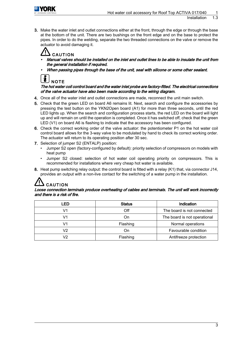

3. Make the water inlet and outlet connections either at the front, through the edge or through the base at the bottom of the unit. There are two bushings on the front edge and on the base to protect the pipes. In order to do the welding, separate the two threaded connections on the valve or remove the actuator to avoid damaging it.

# CAUTION

- • Manual valves should be installed on the inlet and outlet lines to be able to insulate the unit from the general installation if required.
- •When passing pipes through the base of the unit, seal with silicone or some other sealant.



The hot water coil control board and the water inlet probe are factory-fitted. The electrical connections of the valve actuator have also been made according to the wiring diagram.

- 4. Once all of the water inlet and outlet connections are made, reconnect the unit main switch.
- 5. Check that the green LED on board A6 remains lit. Next, search and configure the accessories by pressing the test button on the YKN2Open board (A1) for more than three seconds, until the red LED lights up. When the search and configuration process starts, the red LED on the board will light up and will remain on until the operation is completed. Once it has switched off, check that the green LED (V1) on board A6 is flashing to indicate that the accessory has been configured.
- 6. Check the correct working order of the valve actuator: the potentiometer P1 on the hot water coil control board allows for the 3-way valve to be modulated by hand to check its correct working order. The actuator will return to its operating position after 30 sec.
- 7. Selection of jumper S2 (ENTALP) position:
	- Jumper S2 open (factory-configured by default): priority selection of compressors on models with heat pump
	- Jumper S2 closed: selection of hot water coil operating priority on compressors. This is recommended for installations where very cheap hot water is available.
- 8. Heat pump switching relay output: the control board is fitted with a relay (K1) that, via connector J14, provides an output with a non-live contact for the switching of a water pump in the installation.

## **CAUTION**

#### Loose connection terminals produce overheating of cables and terminals. The unit will work incorrectly and there is a risk of fire.

| .FD            | <b>Status</b> | Indication                   |
|----------------|---------------|------------------------------|
| V1             | Off           | The board is not connected   |
| V1             | On            | The board is not operational |
| V1             | Flashing      | Normal operations            |
| V <sub>2</sub> | On            | Favourable condition         |
| 12             | Flashing      | Antifreeze protection        |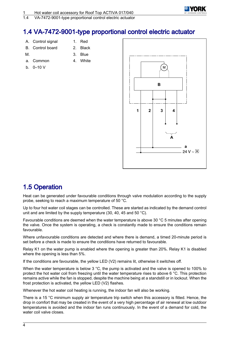

<span id="page-5-0"></span>1.4 VA-7472-9001-type proportional control electric actuator

### 1.4 VA-7472-9001-type proportional control electric actuator

- A. Control signal 1. Red
- B. Control board 2. Black
- 
- M. 3. Blue
- a. Common
- b.  $0-10$  V

| J. | טוש   |
|----|-------|
| 4. | White |



### 1.5 Operation

Heat can be generated under favourable conditions through valve modulation according to the supply probe, seeking to reach a maximum temperature of 50 °C.

Up to four hot water coil stages can be controlled. These are started as indicated by the demand control unit and are limited by the supply temperature (30, 40, 45 and 50 °C).

Favourable conditions are deemed when the water temperature is above 30 °C 5 minutes after opening the valve. Once the system is operating, a check is constantly made to ensure the conditions remain favourable.

Where unfavourable conditions are detected and where there is demand, a timed 20-minute period is set before a check is made to ensure the conditions have returned to favourable.

Relay K1 on the water pump is enabled where the opening is greater than 20%. Relay K1 is disabled where the opening is less than 5%.

If the conditions are favourable, the yellow LED (V2) remains lit, otherwise it switches off.

When the water temperature is below 3 °C, the pump is activated and the valve is opened to 100% to protect the hot water coil from freezing until the water temperature rises to above 6 °C. This protection remains active while the fan is stopped, despite the machine being at a standstill or in lockout. When the frost protection is activated, the yellow LED (V2) flashes.

Whenever the hot water coil heating is running, the indoor fan will also be working.

There is a 15 °C minimum supply air temperature trip switch when this accessory is fitted. Hence, the drop in comfort that may be created in the event of a very high percentage of air renewal at low outdoor temperatures is avoided and the indoor fan runs continuously. In the event of a demand for cold, the water coil valve closes.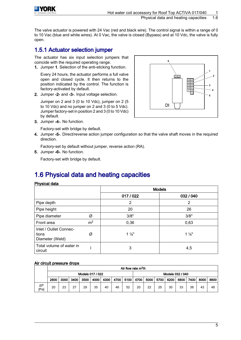<span id="page-6-0"></span>

The valve actuator is powered with 24 Vac (red and black wire). The control signal is within a range of 0 to 10 Vac (blue and white wires). At 0 Vac, the valve is closed (Bypass) and at 10 Vdc, the valve is fully open.

### 1.5.1 Actuator selection jumper

The actuator has six input selection jumpers that coincide with the required operating range.

1. Jumper 1. Selection of the anti-sticking function.

Every 24 hours, the actuator performs a full valve open and closed cycle. It then returns to the position indicated by the control. The function is factory-activated by default.

2. Jumper -2- and -3-. Input voltage selection.

Jumper on 2 and 3 (0 to 10 Vdc), jumper on 2 (5 to 10 Vdc) and no jumper on 2 and 3 (0 to 5 Vdc). Jumper factory-set in position 2 and 3 (0 to 10 Vdc) by default.



3. Jumper -4-. No function.

Factory-set with bridge by default.

4. Jumper -5-. Direct/reverse action jumper configuration so that the valve shaft moves in the required direction.

Factory-set by default without jumper, reverse action (RA).

5. Jumper -6-. No function.

Factory-set with bridge by default.

### 1.6 Physical data and heating capacities

#### Physical data

|                                                    |                |                | <b>Models</b>  |
|----------------------------------------------------|----------------|----------------|----------------|
|                                                    |                | 017 / 022      | 032 / 040      |
| Pipe depth                                         |                | 2              | 2              |
| Pipe height                                        |                | 20             | 26             |
| Pipe diameter                                      | Ø              | 3/8"           | 3/8"           |
| Front area                                         | m <sup>2</sup> | 0,36           | 0,63           |
| Inlet / Outlet Connec-<br>tions<br>Diameter (Weld) | Ø              | $1\frac{1}{8}$ | $1\frac{1}{8}$ |
| Total volume of water in<br>circuit                |                | 3              | 4,5            |

#### Air circuit pressure drops

|                    |      |      |      |                  |      |      |    | Air flow rate m <sup>3</sup> /h |      |      |      |        |                  |      |      |      |
|--------------------|------|------|------|------------------|------|------|----|---------------------------------|------|------|------|--------|------------------|------|------|------|
|                    |      |      |      | Models 017 / 022 |      |      |    |                                 |      |      |      |        | Models 032 / 040 |      |      |      |
|                    | 2800 | 3000 | 3400 | 3500             | 4000 | 4300 |    | 4700 5100                       | 4700 | 5000 | 5700 | 6200 ∣ | 6800             | 7400 | 8000 | 8600 |
| $\Delta P$<br>[Pa] | 20   | 23   | 27   | 29               | 35   | 40   | 46 | 52                              | 20   | 22   | 25   | 30     | 33               | 38   | 43   | 48   |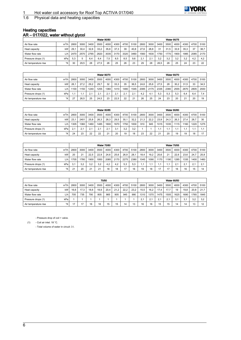

Physical data and heating capacities

#### Heating capacities AR – 017/022, water without glycol

|                      |         |      |              |      |      | <b>Water 90/80</b> |      |      |      |      |      |      |      | <b>Water 90/75</b> |      |      |      |
|----------------------|---------|------|--------------|------|------|--------------------|------|------|------|------|------|------|------|--------------------|------|------|------|
| Air flow rate        | $m^3/h$ | 2800 | 3000         | 3400 | 3500 | 4000               | 4300 | 4700 | 5100 | 2800 | 3000 | 3400 | 3500 | 4000               | 4300 | 4700 | 5100 |
| Heat capacity        | kW      | 29.  | 30.4         | 32.6 | 33.2 | 35.8               | 37.3 | 39   | 40.8 | 27.6 | 28.8 | 31   | 31.5 | 33.9               | 35.3 | 37   | 38.7 |
| Water flow rate      | L/h     | 2470 | 2570         | 2765 | 2820 | 3035               | 3170 | 3320 | 3460 | 1560 | 1630 | 1750 | 1770 | 1900               | 1985 | 2085 | 2170 |
| Pressure drops (1)   | kPa     | 5.3  | $\mathbf{b}$ | 6.4  | 6.4  | 7.5                | 8.5  | 8.5  | 9.6  | 2.1  | 2.1  | 3.2  | 3.2  | 3.2                | 3.2  | 4.2  | 4.2  |
| Air temperature rise | °K      | 30   | 29.5         | 28   | 27.5 | 26                 | 25   | 26   | 23   | 29   | 28   | 26.5 | 26   | 25                 | 24   | 23   | 22   |

|                      |                  |      |      |      |                  | <b>Water 90/70</b> |      |      |      |      |      |      |      | <b>Water 80/70</b> |      |      |      |
|----------------------|------------------|------|------|------|------------------|--------------------|------|------|------|------|------|------|------|--------------------|------|------|------|
| Air flow rate        | $m^3/h$          | 2800 | 3000 | 3400 | 3500             | 4000               | 4300 | 4700 | 5100 | 2800 | 3000 | 3400 | 3500 | 4000               | 4300 | 4700 | 5100 |
| Heat capacity        | kW               | 26.  | 27.2 | 29.2 | 29.7             | 32                 | 33.3 | 35   | 36.5 | 24.6 | 25.6 | 27.5 | 28   | 30.2               | 31.5 | 33   | 34.5 |
| Water flow rate      | L/h              | 1100 | 150  | 1240 | 1255             | 1360               | 1410 | 1480 | 1545 | 2085 | 2175 | 2335 | 2380 | 2555               | 2670 | 2805 | 2930 |
| Pressure drops (1)   | kPa              |      | ۱.1  | 2.1  | $\sim$ $\lambda$ | 2.7                | 2.1  | 2.1  | 2.1  | 4.2  | 4.1  | 5.3  | 5.3  | 5.3                | 6.4  | 6.4  | .4   |
| Air temperature rise | $\mathcal{C}$ K. | 27   | 26,5 | 25   | 24.5             | 23                 | 22.5 | 22   | 21   | 26   | 25   | 24   | 23   | 20                 | 21   | 20   | 19   |

|                      |                  |      |      |      |            | <b>Water 80/65</b> |      |      |      |      |      |      |      | <b>Water 80/60</b> |      |      |      |
|----------------------|------------------|------|------|------|------------|--------------------|------|------|------|------|------|------|------|--------------------|------|------|------|
| Air flow rate        | $m^3/h$          | 2800 | 3000 | 3400 | 3500       | 4000               | 4300 | 4700 | 5100 | 2800 | 3000 | 3400 | 3500 | 4000               | 4300 | 4700 | 5100 |
| Heat capacity        | kW               | 23.7 | 2401 | 25.8 | 26.3       | 28.3               | 29.5 | 30.1 | 32.2 | 21.3 | 22.2 | 23.9 | 24.3 | 26.3               | 27.4 | 28.7 | 30   |
| Water flow rate      | L/h              | 305  | 1360 | 1460 | 1485       | 1600               | 1670 | 1750 | 1830 | 910  | 945  | 1015 | 1035 | 1115               | 160  | 1220 | 1275 |
| Pressure drops (1)   | kPa              | 2.   | 2.1  | 2.   | $^{\circ}$ | 2.7                | 3.1  | 3.2  | 3.2  |      |      |      |      |                    |      |      |      |
| Air temperature rise | $\mathcal{C}$ K, | 24   | 23   | 22   | 22         | 21                 | 20   | 19   | 18   | 23   | 22   | 21   | 20   | 19                 | 19   | 18   | 17   |

|                      |                  |                |      |      |      | <b>Water 70/60</b> |      |      |      |      |      |      |      | <b>Water 70/55</b> |      |      |      |
|----------------------|------------------|----------------|------|------|------|--------------------|------|------|------|------|------|------|------|--------------------|------|------|------|
| Air flow rate        | $m^3/h$          | 2800           | 3000 | 3400 | 3500 | 4000               | 4300 | 4700 | 5100 | 2800 | 3000 | 3400 | 3500 | 4000               | 4300 | 4700 | 5100 |
| Heat capacity        | kW               | 20             | 21   | 22.5 | 22.9 | 24.6               | 25.6 | 26.9 | 28.1 | 18.4 | 19.2 | 20.6 | 21   | 22.6               | 23.6 | 24.7 | 25.8 |
| Water flow rate      | L/h              | 1705           | 1780 | 1900 | 1950 | 2085               | 2170 | 2275 | 2380 | 1045 | 1090 | 1170 | 1190 | 1285               | 1335 | 1400 | 1460 |
| Pressure drops (1)   | kPa              | 3.1            | 3.2  | 3.2  | 3.2  | 4.2                | 4.2  | 5.3  | 5.3  | 1.1  | ا: ا |      |      | 2.1                | 2.1  | 2.7  | 2.7  |
| Air temperature rise | $\mathcal{C}$ K, | 2 <sup>1</sup> | 20   | 21   | 21   | 18                 | 18   |      | 16   | 19   | 18   |      |      | 16                 | 16   | 15   | 14   |

|                      |                 |      |      |      |      | 70/50 |      |      |      |      |      |      |              | <b>Water 60/50</b> |      |      |      |
|----------------------|-----------------|------|------|------|------|-------|------|------|------|------|------|------|--------------|--------------------|------|------|------|
| Air flow rate        | $m^3/h$         | 2800 | 3000 | 3400 | 3500 | 4000  | 4300 | 4700 | 5100 | 2800 | 3000 | 3400 | 3500         | 4000               | 4300 | 4700 | 5100 |
| Heat capacity        | kW              | 16.6 | 17.3 | 18.6 | 18.9 | 20,4  | 21.2 | 22.2 | 23.2 | 15.5 | 16,2 | 17.4 | 17.7         | 19                 | 19.8 | 20.8 | 21.7 |
| Water flow rate      | L/h             | 705  | 735  | 790  | 805  | 865   | 905  | 945  | 990  | 1310 | 1370 | 1475 | 1505         | 1625               | 1690 | 1765 | 1845 |
| Pressure drops (1)   | kPa             |      |      |      |      |       |      |      |      | 2.1  | 2.1  | 2.1  | $\sim$<br>۷. | 3.1                | 3.1  | 3,2  | 3.2  |
| Air temperature rise | $\mathcal{R}_1$ | 17   | 17   | 16   | 16   | 15    | 15   | 14   | 13   | 16   | 16   | 15   | 15           | 14                 | 14   | 13   | 12   |

- Pressure drop of coil + valve.

(1) - Coil air inlet: 18 °C.

- Total volume of water in circuit: 3 l.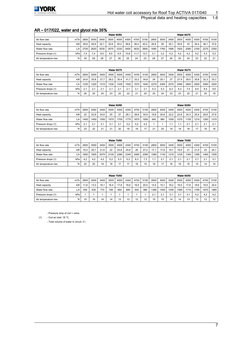

#### Physical data and heating capacities

### AR – 017/022, water and glycol mix 35%

|                      |         |      |      |      |      | <b>Water 90/80</b> |      |      |      |      |      |      |      | <b>Water 90/75</b> |      |      |      |
|----------------------|---------|------|------|------|------|--------------------|------|------|------|------|------|------|------|--------------------|------|------|------|
| Air flow rate        | $m^3/h$ | 2800 | 3000 | 3400 | 3500 | 4000               | 4300 | 4700 | 5100 | 2800 | 3000 | 3400 | 3500 | 4000               | 4300 | 4700 | 5100 |
| Heat capacity        | kW      | 28.6 | 29.9 | 32.1 | 32.6 | 35.2               | 36.6 | 38.4 | 40.2 | 26.8 | 28   | 30.1 | 30.6 | 33                 | 34.4 | 36.1 | 37.6 |
| Water flow rate      | ' h/    | 2700 | 2820 | 3035 | 3075 | 3330               | 3455 | 3630 | 3800 | 1690 | 1760 | 1890 | 1920 | 2080               | 2165 | 2275 | 2350 |
| Pressure drops (1)   | kPa     | .4   | 7.4  | 8.5  | 8.5  | 9.5                | 10.6 | 11.7 | 12.7 | 3.1  | 3.2  | 4.2  | 4.2  | 4.2                | 5.2  | 5.3  | 5.3  |
| Air temperature rise | °K      | 30   | 29   | 28   | 27   | 26                 | 25   | 24   | 23   | 28   | 27   | 26   | 25   | 24                 | 23   | 22   | 24   |

|                      |         |        |      |      |      | <b>Water 90/70</b> |      |      |      |      |      |      |      | <b>Water 80/70</b> |      |      |      |
|----------------------|---------|--------|------|------|------|--------------------|------|------|------|------|------|------|------|--------------------|------|------|------|
| Air flow rate        | $m^3/h$ | 2800   | 3000 | 3400 | 3500 | 4000               | 4300 | 4700 | 5100 | 2800 | 3000 | 3400 | 3500 | 4000               | 4300 | 4700 | 5100 |
| Heat capacity        | kW      | 24.8   | 25.8 | 27.7 | 28.2 | 30,4               | 31.7 | 33.2 | 34.8 | 24   | 25.1 | 27   | 27.4 | 29.5               | 30.8 | 32.3 | 33.7 |
| Water flow rate      | ا h′∟   | 1235   | 1220 | 1310 | 330  | 1435               | 1500 | 1570 | 1640 | 2270 | 2365 | 2570 | 2590 | 2800               | 2925 | 3060 | 3200 |
| Pressure drops (1)   | kPa     | $\sim$ | 2.1  | 2.   | 2.1  | 2.                 | 2.1  | 3.7  |      | 5.3  | 5,3  | 6.3  | 6.3  | 7.4                | 8.4  | 8.5  | 9.5  |
| Air temperature rise | °K      | 26     | 25   | 24   | 23   | 22                 | 22   | 21   | 20   | 25   | 24   | 23   | 23   | 22                 | 21   | 20   | 19   |

|                      |         |      |           |      |      | <b>Water 80/65</b> |      |      |      |      |      |      |      | <b>Water 80/60</b> |      |      |                  |
|----------------------|---------|------|-----------|------|------|--------------------|------|------|------|------|------|------|------|--------------------|------|------|------------------|
| Air flow rate        | $m^3/h$ | 2800 | 3000      | 3400 | 3500 | 4000               | 4300 | 4700 | 5100 | 2800 | 3000 | 3400 | 3500 | 4000               | 4300 | 4700 | 5100             |
| Heat capacity        | kW      | 22   | 22.9      | 24.6 | 25   | 27                 | 28.7 | 29.6 | 30.9 | 19.8 | 20.6 | 22.2 | 22.6 | 24.3               | 25.4 | 26.6 | 27.8             |
| Water flow rate      | L/h     | 1400 | 1450      | 1550 | 570  | 1705               | 775  | 1870 | 1950 | 940  | 980  | 1055 | 1070 | 1155               | 1210 | 1260 | 1315 l           |
| Pressure drops (1)   | kPa     | 2.1  | 24<br>۷.۱ |      |      | 3.1                | 3,2  | 4.2  | 4.2  |      |      | ٠.   |      | 2.1                | 2.1  | 2.7  | $^{\circ}$<br>z. |
| Air temperature rise | °K      | 23   | 22        | 21   | 21   | 20                 | 19   | 18   | 17   | 21   | 20   | 19   | 19   | 18                 | 17   | 16   | 16               |

|                      |         |      |      |      |      | <b>Water 70/60</b> |      |      |      |      |      |      |      | <b>Water 70/55</b> |      |      |      |
|----------------------|---------|------|------|------|------|--------------------|------|------|------|------|------|------|------|--------------------|------|------|------|
| Air flow rate        | $m^3/h$ | 2800 | 3000 | 3400 | 3500 | 4000               | 4300 | 4700 | 5100 | 2800 | 3000 | 3400 | 3500 | 4000               | 4300 | 4700 | 5100 |
| Heat capacity        | kW      | 19.3 | 20.7 | 21.6 | 22   | 23.8               | 24.8 | 26   | 27.2 | 17.1 | 17.8 | 19.1 | 19.5 | 21                 | 21.9 | 23   | 24.1 |
| Water flow rate      | L/h     | 1850 | 1925 | 2070 | 2105 | 2280               | 2345 | 2465 | 2585 | 1080 | 130  | 1215 | 1235 | 1340               | 1395 | 1465 | 1535 |
| Pressure drops (1)   | kPa     | 4.2  | 4.2  | 4.2  | 5.2  | 5.3                | 5.3  | 6.3  | 7.3  |      | 2.1  | 2.1  | 2.1  | 2.1                | 2.1  | 2.1  | 3.7  |
| Air temperature rise | °K      | 20   | 20   | 19   | 18   | 17                 | 17   | 16   | 15   | 18   | 17   | 16   | 16   | 15                 | 15   | 14   | 14   |

|                      |               |      |      |      |      | <b>Water 70/50</b> |      |      |      |      |      |      |      | <b>Water 60/50</b> |      |      |      |
|----------------------|---------------|------|------|------|------|--------------------|------|------|------|------|------|------|------|--------------------|------|------|------|
| Air flow rate        | $m^3/h$       | 2800 | 3000 | 3400 | 3500 | 4000               | 4300 | 4700 | 5100 | 2800 | 3000 | 3400 | 3500 | 4000               | 4300 | 4700 | 5100 |
| Heat capacity        | kW            | 11.6 | 13.3 | 16.1 | 16.4 | 17.8               | 18.6 | 19.5 | 20.5 | 14.5 | 15,1 | 16.2 | 16.5 | 17.8               | 18,6 | 19.5 | 20,4 |
| Water flow rate      | ∟/h '         | 555  | 635  | 770  | 785  | 850                | 890  | 930  | 980  | 1385 | 1450 | 1555 | 1585 | 1710               | 1785 | 1870 | 1965 |
| Pressure drops (1)   | kPa           |      |      |      |      |                    |      |      |      | 2.1  | 2.1  | 3.1  | 3.1  | 3.1                | 4,2  | 4.2  | 4.2  |
| Air temperature rise | $\mathcal{R}$ | 15   | 15   | 14   | 14   | 12<br>د ا          | 13   | 12   | 12   | 15   | 15   | 14   | 14   | 13                 | 13   | 12   | 12   |

- Pressure drop of coil + valve.

(1) - Coil air inlet: 18 °C.

- Total volume of water in circuit: 3 l.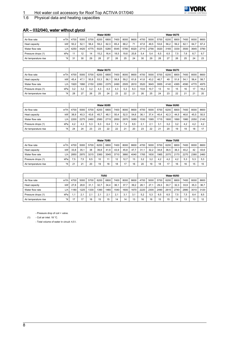## *<b>\** YORK

# 1 Hot water coil accessory for Roof Top ACTIVA 017/040<br>1.6 Physical data and heating capacities

### Physical data and heating capacities

|  | AR - 032/040, water without glycol |  |  |  |
|--|------------------------------------|--|--|--|
|  |                                    |  |  |  |

|                      |         |                |      |      |      | <b>Water 90/80</b> |      |      |      |      |      |      |      | <b>Water 90/75</b> |      |      |      |
|----------------------|---------|----------------|------|------|------|--------------------|------|------|------|------|------|------|------|--------------------|------|------|------|
| Air flow rate        | $m^3/h$ | 4700           | 5000 | 5700 | 6200 | 6800               | 7400 | 8000 | 8600 | 4700 | 5000 | 5700 | 6200 | 6800               | 7400 | 8000 | 8600 |
| Heat capacity        | kW      | 50.2           | 52.1 | 56.4 | 59.2 | 62.3               | 65.4 | 68.2 | 71   | 47.8 | 49.5 | 53.6 | 56.2 | 59.2               | 62.7 | 64.7 | 67.4 |
| Water flow rate      | ∟/h     | 4250           | 4420 | 4775 | 5025 | 5280               | 5545 | 5780 | 6020 | 2710 | 2790 | 3020 | 3165 | 3330               | 3500 | 3645 | 3790 |
| Pressure drops (1)   | kPa     |                | 12   | 14   | 15.2 | 16.4               | 18.5 | 19.6 | 20.8 | 5.4  | 5,4  | 6.5  | 6.5  | 7.5                | 7.6  | 8.7  | 9.7  |
| Air temperature rise | °K      | 3 <sup>1</sup> | 30   | 29   | 28   | 27                 | 26   | 25   | 24   | 30   | 29   | 28   | 27   | 26                 | 25   | 24   | 23   |

|                      |         |      |      |      |      | <b>Water 90/70</b> |      |      |      |      |      |      |      | <b>Water 80/70</b> |            |      |      |
|----------------------|---------|------|------|------|------|--------------------|------|------|------|------|------|------|------|--------------------|------------|------|------|
| Air flow rate        | $m^3/h$ | 4700 | 5000 | 5700 | 6200 | 6800               | 7400 | 8000 | 8600 | 4700 | 5000 | 5700 | 6200 | 6800               | 7400       | 8000 | 8600 |
| Heat capacity        | kW      | 45.4 | 47.1 | 50.8 | 53.3 | 56.1               | 58.8 | 59.2 | 61.6 | 41.6 | 43.2 | 46.7 | 49   | 51.6               | 54.1       | 56.4 | 58.7 |
| Water flow rate      | L/h     | 1920 | 1990 | 2150 | 2260 | 2375               | 2490 | 2505 | 2610 | 3520 | 3645 | 3955 | 4140 | 4365               | 4590       | 4770 | 4975 |
| Pressure drops (1)   | kPa     | 3.2  | 3.2  | 3.2  | 4.3  | 4.3                | 4.3  | 5.3  | 6.3  | 10.6 | 10.7 | 13   | 14   | 15                 | 16         | 17   | 18,2 |
| Air temperature rise | °K      | 28   | 27   | 26   | 25   | 24                 | 23   | 22   | 21   | 26   | 25   | 24   | 23   | 22                 | <b>O</b> 4 | 21   | 20   |

|                      |         |      |      |      |      | <b>Water 80/65</b> |               |      |      |      |      |      |      | <b>Water 80/60</b> |      |      |      |
|----------------------|---------|------|------|------|------|--------------------|---------------|------|------|------|------|------|------|--------------------|------|------|------|
| Air flow rate        | $m^3/h$ | 4700 | 5000 | 5700 | 6200 | 6800               | 7400          | 8000 | 8600 | 4700 | 5000 | 5700 | 6200 | 6800               | 7400 | 8000 | 8600 |
| Heat capacity        | kW      | 38.9 | 40.3 | 43.6 | 45.7 | 48.1               | 50.4          | 52.5 | 54.6 | 36.1 | 37.4 | 40.4 | 42.3 | 44.5               | 46.6 | 45.5 | 50.5 |
| Water flow rate      | L/h     | 2200 | 2275 | 2460 | 2580 | 2715               | 2850          | 2970 | 3085 | 1530 | 1585 | 1715 | 1800 | 1890               | 1980 | 2050 | 2145 |
| Pressure drops (1)   | kPa     | 4.2  | 4.3  | 5.3  | 6.3  | 6.4                | $\mathcal{A}$ | 7.4  | 8.5  | 2.1  | 2.1  | 3.1  | 3.2  | 3.2                | 4.2  | 4.2  | 4.2  |
| Air temperature rise | °K      | 24   | 24   | 23   | 23   | 22                 | 22            | 21   | 20   | 23   | 22   | 21   | 20   | 19                 | 19   | 18   | 17   |

|                      |         |      |        |      |      | <b>Water 70/60</b> |      |      |      |      |      |      |      | <b>Water 70/55</b> |      |      |      |
|----------------------|---------|------|--------|------|------|--------------------|------|------|------|------|------|------|------|--------------------|------|------|------|
| Air flow rate        | $m^3/h$ | 4700 | 5000   | 5700 | 6200 | 6800               | 7400 | 8000 | 8600 | 4700 | 5000 | 5700 | 6200 | 6800               | 7400 | 8000 | 8600 |
| Heat capacity        | kW      | 33.8 | 35.1   | 38   | 39.8 | 41.9               | 43.9 | 45.8 | 47.7 | 31.1 | 32.2 | 34.8 | 36.5 | 38.3               | 40.2 | 42   | 43.6 |
| Water flow rate      | L/h     | 2850 | 2970   | 3215 | 3360 | 3545               | 3710 | 3880 | 4040 | 1765 | 1830 | 1965 | 2070 | 2170               | 2270 | 2380 | 2460 |
| Pressure drops (1)   | kPa     | 7.5  | $.5\,$ | 8.5  | 10   | 11                 | 12   | 12.7 | 13   | 3.2  | 3.2  | 4.2  | 4.2  | 4.2                | 5.3  | 5.3  | 5.3  |
| Air temperature rise | °K      | 21   | 21     | 20   | 19   | 18                 | 18   | 17   | 16   | 20   | 19   | 18   |      | 16                 | 16   | 15   | 15   |

|                      |         |      |      |      | 70/50 |      |      |      |      |      |      |      |      | <b>Water 60/50</b>    |      |      |      |
|----------------------|---------|------|------|------|-------|------|------|------|------|------|------|------|------|-----------------------|------|------|------|
| Air flow rate        | $m^3/h$ | 4700 | 5000 | 5700 | 6200  | 6800 | 7400 | 8000 | 8600 | 4700 | 5000 | 5700 | 6200 | 6800                  | 7400 | 8000 | 8600 |
| Heat capacity        | kW      | 27.8 | 28.8 | 31.1 | 32.7  | 34.4 | 36.1 | 37.7 | 39.2 | 26.1 | 27.1 | 29.3 | 30.7 | 32.3                  | 33,9 | 35.3 | 36.7 |
| Water flow rate      | L/h     | 180  | 1225 | 1330 | 1390  | 1460 | 1540 | 1600 | 1670 | 2220 | 2300 | 2490 | 2615 | 2740                  | 2880 | 3010 | 3120 |
| Pressure drops (1)   | kPa     |      | 2.1  | 2.7  | 2.1   | 2.1  | 2.1  | 3.1  | 3.1  | 5.2  | 5.3  | 6.5  | 6.5  | $\overline{ }$<br>7.5 | 7.5  | 8.4  | 8.5  |
| Air temperature rise | °K      | 17   | 17   | 16   | 15    | 15   | 14   | 14   | 13   | 16   | 16   | 15   | 15   | 14                    | 13   | 13   | 12   |

- Pressure drop of coil + valve.

(1) - Coil air inlet: 18 °C.

- Total volume of water in circuit: 4,5 l.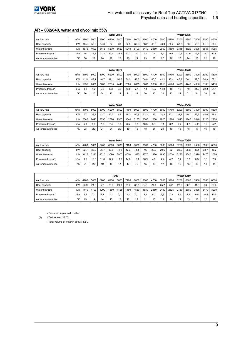

#### Physical data and heating capacities

### AR – 032/040, water and glycol mix 35%

|                      |                 |      |      |      |      | <b>Water 90/80</b> |      |      |      |      |      |      |      | <b>Water 90/75</b> |      |      |      |
|----------------------|-----------------|------|------|------|------|--------------------|------|------|------|------|------|------|------|--------------------|------|------|------|
| Air flow rate        | $m^3/h$         | 4700 | 5000 | 5700 | 6200 | 6800               | 7400 | 8000 | 8600 | 4700 | 5000 | 5700 | 6200 | 6800               | 7400 | 8000 | 8600 |
| Heat capacity        | kW              | 48.4 | 50.2 | 54.3 | 57   | 60                 | 62.9 | 65.6 | 68.2 | 45.3 | 46.9 | 50.7 | 53.2 | 56                 | 58.6 | 61.1 | 63.4 |
| Water flow rate      | L/h             | 4575 | 4690 | 5115 | 5370 | 5660               | 5940 | 6190 | 6440 | 2850 | 2950 | 3190 | 3345 | 3520               | 3695 | 3845 | 3965 |
| Pressure drops (1)   | kPa             | 18   | 18.2 | 21.3 | 23.4 | 25.6               | 27.7 | 30   | 32   | . 4  | 8.4  | 9.5  | 10.6 | 11.6               | 12.7 | 12.7 | 13.8 |
| Air temperature rise | $\mathcal{C}$ K | 30   | 29   | 28   | 27   | 26                 | 25   | 24   | 23   | 28   | 27   | 26   | 25   | 24                 | 23   | 22   | 22   |

|                      |         |      |      |      |      | <b>Water 90/70</b> |      |             |      |      |      |      |      | <b>Water 80/70</b> |      |      |      |
|----------------------|---------|------|------|------|------|--------------------|------|-------------|------|------|------|------|------|--------------------|------|------|------|
| Air flow rate        | $m^3/h$ | 4700 | 5000 | 5700 | 6200 | 6800               | 7400 | 8000        | 8600 | 4700 | 5000 | 5700 | 6200 | 6800               | 7400 | 8000 | 8600 |
| Heat capacity        | kW      | 41.5 | 43.1 | 46.7 | 49.  | 51.                | 54,2 | 56.6        | 58,8 | 40.5 | 42.1 | 45.4 | 47.7 | 50.2               | 52.6 | 54.8 | 57.1 |
| Water flow rate      | ا h′∟   | 1955 | 2030 | 2200 | 2315 | 2440               | 2565 | 2675        | 2760 | 3830 | 4010 | 4270 | 4495 | 4740               | 4980 | 5180 | 5410 |
| Pressure drops (1)   | kPa     | 4.2  | 4.2  | 5.2  | 5.3  | 6.3                | 6,3  | 7.4         | ۰.4  | 13.7 | 14.8 | 16   | 18   | 19                 | 21.2 | 22.3 | 24.4 |
| Air temperature rise | °K      | 26   | 25   | 24   | 23   | 22                 | 21   | $2^{\cdot}$ | 20   | 25   | 24   | 23   | 22   | 21                 | 21   | 20   | 19   |

|                      |         |      |      |        |      | <b>Water 80/65</b> |      |      |      |      |      |      |      | <b>Water 80/60</b> |      |      |      |
|----------------------|---------|------|------|--------|------|--------------------|------|------|------|------|------|------|------|--------------------|------|------|------|
| Air flow rate        | $m^3/h$ | 4700 | 5000 | 5700   | 6200 | 6800               | 7400 | 8000 | 8600 | 4700 | 5000 | 5700 | 6200 | 6800               | 7400 | 8000 | 8600 |
| Heat capacity        | kW      | 37   | 38.4 | 41.7   | 43.7 | 46                 | 48.2 | 50.3 | 52.3 | 33   | 34.2 | 37.1 | 38.8 | 40.1               | 42.9 | 44.6 | 46.4 |
| Water flow rate      | L/h     | 2345 | 2440 | 2635   | 2770 | 2905               | 3040 | 3175 | 3305 | 1560 | 1625 | 1760 | 1845 | 1940               | 2040 | 2110 | 2200 |
| Pressure drops (1)   | kPa     | 5.3  | 6,3  | .3     | 7.4  | 8.4                | 8.5  | 9.5  | 10.5 | 3.1  | 3.1  | 3.2  | 4.2  | 4.2                | 4,2  | 5.2  | 5.2  |
| Air temperature rise | °K      | 23   | 22   | $\sim$ | 21   | 20                 | 19   | 18   | 18   | 21   | 20   | 19   | 18   | 18                 | 17   | 16   | 16   |

|                      | <b>Water 70/60</b> |              |      |      |      |      |      |      | <b>Water 70/55</b> |      |      |      |      |      |      |      |      |
|----------------------|--------------------|--------------|------|------|------|------|------|------|--------------------|------|------|------|------|------|------|------|------|
| Air flow rate        | $m^3/h$            | 4700         | 5000 | 5700 | 6200 | 6800 | 7400 | 8000 | 8600               | 4700 | 5000 | 5700 | 6200 | 6800 | 7400 | 8000 | 8600 |
| Heat capacity        | kW                 | 32.1         | 33.9 | 36.7 | 38.5 | 41.2 | 42.3 | 44.1 | 46                 | 28.6 | 29.6 | 32   | 33.6 | 35.3 | 37.1 | 38.7 | 40.2 |
| Water flow rate      | L/h                | 3125         | 3240 | 3520 | 3690 | 3900 | 4000 | 1585 | 4370               | 1820 | 1890 | 2030 | 2135 | 2240 | 2370 | 2470 | 2570 |
| Pressure drops (1)   | kPa                | 9.5          | 10.5 | 1.6  | 12.7 | 13.8 | 14.8 | 15.7 | 16.9               | 4.2  | 4.2  | 4.2  | 5.2  | 5.2  | 6.3  | 6.3  | 7.3  |
| Air temperature rise | °K                 | $\mathbf{a}$ | 20   | 19   | 18   | 17   | 17   | 16   | 15                 | 18   | 17   | 16   | 16   | 15   | 15   | 14   | 14   |

|                      | 70/50   |      |      |      |      |      |      |      | <b>Water 60/50</b> |      |      |      |      |      |      |      |      |
|----------------------|---------|------|------|------|------|------|------|------|--------------------|------|------|------|------|------|------|------|------|
| Air flow rate        | $m^3/h$ | 4700 | 5000 | 5700 | 6200 | 6800 | 7400 | 8000 | 8600               | 4700 | 5000 | 5700 | 6200 | 6800 | 7400 | 8000 | 8600 |
| Heat capacity        | kW      | 23,9 | 24.8 | 27   | 28,3 | 29,8 | 31,3 | 32.7 | 34.1               | 24,4 | 25.2 | 247  | 28.6 | 30,1 | 31.6 | 33   | 34.3 |
| Water flow rate      | L/h     | 1140 | 1190 | 1290 | 360  | 1425 | 1490 | 1560 | 1630               | 2350 | 2430 | 2625 | 2730 | 2880 | 3035 | 3170 | 3290 |
| Pressure drops (1)   | kPa     | 2.1  | 2.1  | 2.1  | 2.1  | 2.1  | 3.1  | 3.1  |                    | 6.3  | 6.3  | 7.3  | 8.4  | 8.4  | 9,5  | 10.5 | 10,5 |
| Air temperature rise | °K      | 15   | 14   | 14   | 13   | 13   | 12   | 12   |                    | 15   | 15   | 14   | 14   | 13   | 13   | 12   | 12   |

- Pressure drop of coil + valve.

(1) - Coil air inlet: 18 °C.

- Total volume of water in circuit: 4,5 l.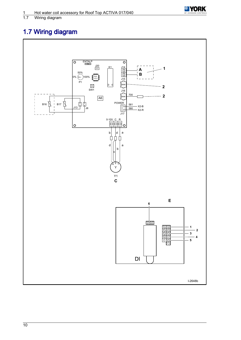

# <span id="page-11-0"></span>1.7 Wiring diagram